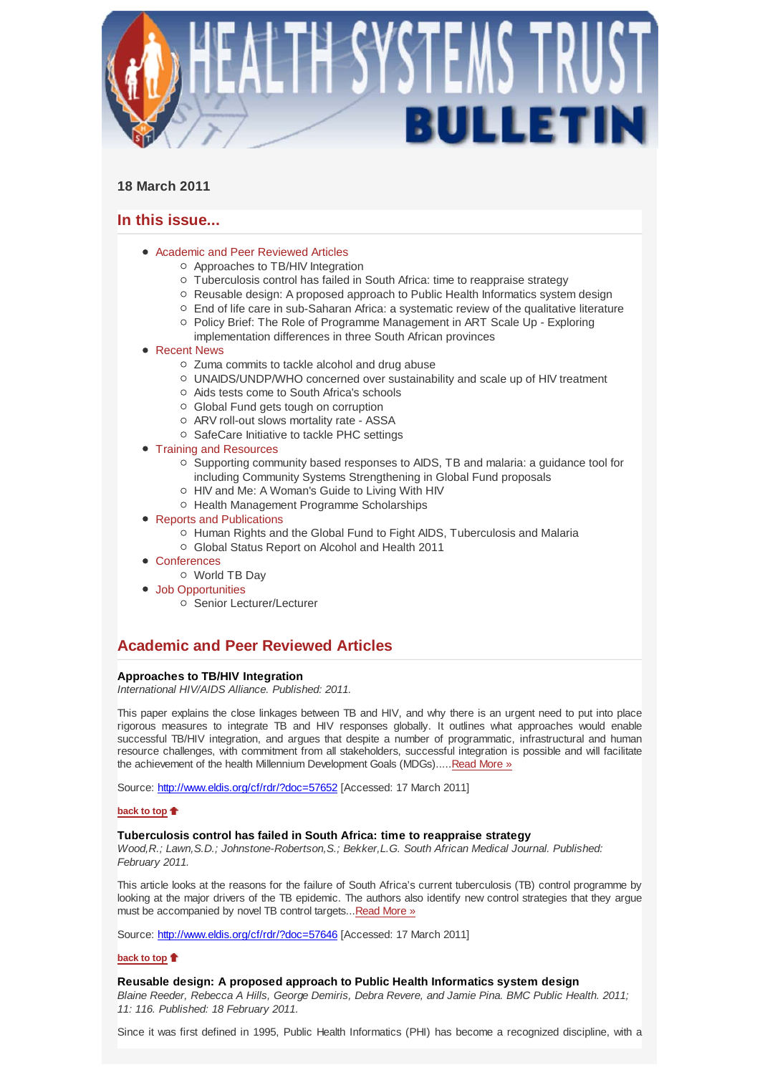

## **18 March 2011**

# **In this issue...**

- Academic and Peer Reviewed Articles
	- Approaches to TB/HIV Integration
	- Tuberculosis control has failed in South Africa: time to reappraise strategy
	- $\circ$  Reusable design: A proposed approach to Public Health Informatics system design
	- $\circ$  End of life care in sub-Saharan Africa: a systematic review of the qualitative literature
	- Policy Brief: The Role of Programme Management in ART Scale Up Exploring
	- implementation differences in three South African provinces

## ● Recent News

- Zuma commits to tackle alcohol and drug abuse
- UNAIDS/UNDP/WHO concerned over sustainability and scale up of HIV treatment
- Aids tests come to South Africa's schools
- Global Fund gets tough on corruption
- ARV roll-out slows mortality rate ASSA
- o SafeCare Initiative to tackle PHC settings
- Training and Resources
	- $\circ$  Supporting community based responses to AIDS, TB and malaria: a quidance tool for including Community Systems Strengthening in Global Fund proposals
	- HIV and Me: A Woman's Guide to Living With HIV
	- o Health Management Programme Scholarships
- Reports and Publications
	- Human Rights and the Global Fund to Fight AIDS, Tuberculosis and Malaria
		- Global Status Report on Alcohol and Health 2011
- Conferences
	- World TB Day
- Job Opportunities
	- Senior Lecturer/Lecturer

# **Academic and Peer Reviewed Articles**

## **Approaches to TB/HIV Integration**

*International HIV/AIDS Alliance. Published: 2011.*

This paper explains the close linkages between TB and HIV, and why there is an urgent need to put into place rigorous measures to integrate TB and HIV responses globally. It outlines what approaches would enable successful TB/HIV integration, and argues that despite a number of programmatic, infrastructural and human resource challenges, with commitment from all stakeholders, successful integration is possible and will facilitate the achievement of the health Millennium Development Goals (MDGs).....Read More »

Source: http://www.eldis.org/cf/rdr/?doc=57652 [Accessed: 17 March 2011]

## **back to top**

## **Tuberculosis control has failed in South Africa: time to reappraise strategy**

*Wood,R.; Lawn,S.D.; Johnstone-Robertson,S.; Bekker,L.G. South African Medical Journal. Published: February 2011.*

This article looks at the reasons for the failure of South Africa's current tuberculosis (TB) control programme by looking at the major drivers of the TB epidemic. The authors also identify new control strategies that they argue must be accompanied by novel TB control targets... Read More »

Source: http://www.eldis.org/cf/rdr/?doc=57646 [Accessed: 17 March 2011]

## **back to top**

### **Reusable design: A proposed approach to Public Health Informatics system design**

*Blaine Reeder, Rebecca A Hills, George Demiris, Debra Revere, and Jamie Pina. BMC Public Health. 2011; 11: 116. Published: 18 February 2011.*

Since it was first defined in 1995, Public Health Informatics (PHI) has become a recognized discipline, with a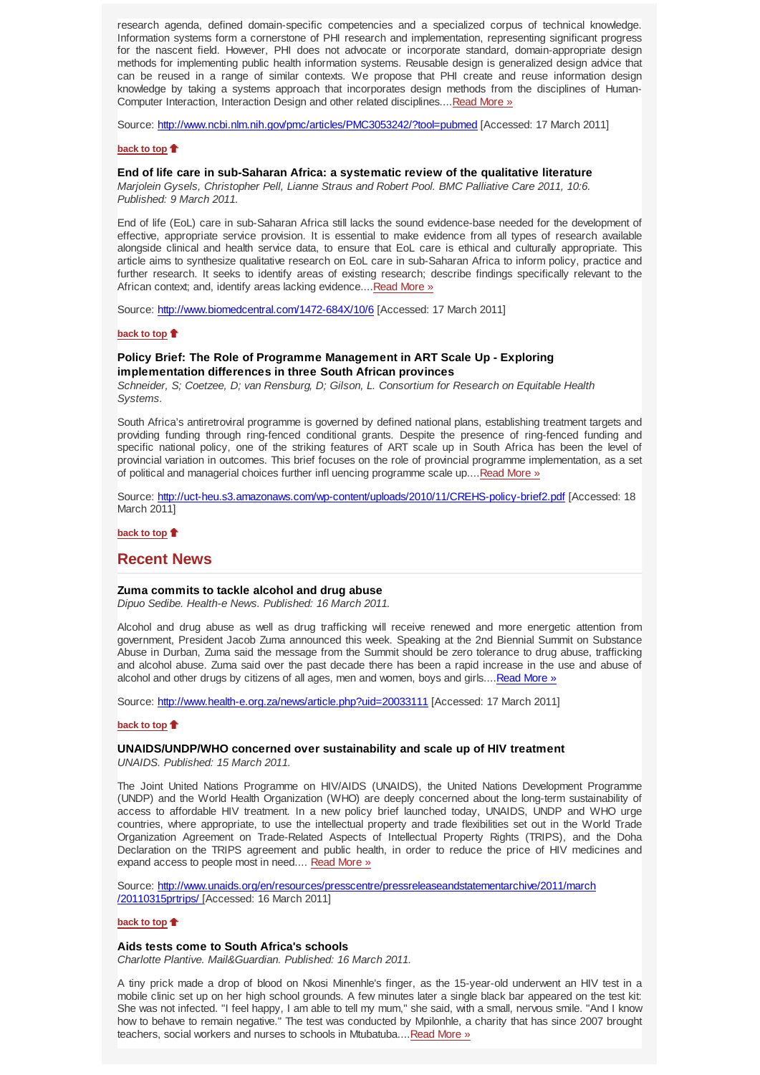research agenda, defined domain-specific competencies and a specialized corpus of technical knowledge. Information systems form a cornerstone of PHI research and implementation, representing significant progress for the nascent field. However, PHI does not advocate or incorporate standard, domain-appropriate design methods for implementing public health information systems. Reusable design is generalized design advice that can be reused in a range of similar contexts. We propose that PHI create and reuse information design knowledge by taking a systems approach that incorporates design methods from the disciplines of Human-Computer Interaction, Interaction Design and other related disciplines....Read More »

Source: http://www.ncbi.nlm.nih.gov/pmc/articles/PMC3053242/?tool=pubmed [Accessed: 17 March 2011]

### **back to top**

### **End of life care in sub-Saharan Africa: a systematic review of the qualitative literature**

*Marjolein Gysels, Christopher Pell, Lianne Straus and Robert Pool. BMC Palliative Care 2011, 10:6. Published: 9 March 2011.*

End of life (EoL) care in sub-Saharan Africa still lacks the sound evidence-base needed for the development of effective, appropriate service provision. It is essential to make evidence from all types of research available alongside clinical and health service data, to ensure that EoL care is ethical and culturally appropriate. This article aims to synthesize qualitative research on EoL care in sub-Saharan Africa to inform policy, practice and further research. It seeks to identify areas of existing research; describe findings specifically relevant to the African context; and, identify areas lacking evidence....Read More »

Source: http://www.biomedcentral.com/1472-684X/10/6 [Accessed: 17 March 2011]

## **back to top**

## **Policy Brief: The Role of Programme Management in ART Scale Up - Exploring implementation differences in three South African provinces**

*Schneider, S; Coetzee, D; van Rensburg, D; Gilson, L. Consortium for Research on Equitable Health Systems.*

South Africa's antiretroviral programme is governed by defined national plans, establishing treatment targets and providing funding through ring-fenced conditional grants. Despite the presence of ring-fenced funding and specific national policy, one of the striking features of ART scale up in South Africa has been the level of provincial variation in outcomes. This brief focuses on the role of provincial programme implementation, as a set of political and managerial choices further infl uencing programme scale up....Read More »

Source: http://uct-heu.s3.amazonaws.com/wp-content/uploads/2010/11/CREHS-policy-brief2.pdf [Accessed: 18 March 2011]

**back to top**

## **Recent News**

#### **Zuma commits to tackle alcohol and drug abuse**

*Dipuo Sedibe. Health-e News. Published: 16 March 2011.*

Alcohol and drug abuse as well as drug trafficking will receive renewed and more energetic attention from government, President Jacob Zuma announced this week. Speaking at the 2nd Biennial Summit on Substance Abuse in Durban, Zuma said the message from the Summit should be zero tolerance to drug abuse, trafficking and alcohol abuse. Zuma said over the past decade there has been a rapid increase in the use and abuse of alcohol and other drugs by citizens of all ages, men and women, boys and girls....Read More »

Source: http://www.health-e.org.za/news/article.php?uid=20033111 [Accessed: 17 March 2011]

## **back to top**

### **UNAIDS/UNDP/WHO concerned over sustainability and scale up of HIV treatment**

*UNAIDS. Published: 15 March 2011.*

The Joint United Nations Programme on HIV/AIDS (UNAIDS), the United Nations Development Programme (UNDP) and the World Health Organization (WHO) are deeply concerned about the long-term sustainability of access to affordable HIV treatment. In a new policy brief launched today, UNAIDS, UNDP and WHO urge countries, where appropriate, to use the intellectual property and trade flexibilities set out in the World Trade Organization Agreement on Trade-Related Aspects of Intellectual Property Rights (TRIPS), and the Doha Declaration on the TRIPS agreement and public health, in order to reduce the price of HIV medicines and expand access to people most in need.... Read More »

Source: http://www.unaids.org/en/resources/presscentre/pressreleaseandstatementarchive/2011/march /20110315prtrips/ [Accessed: 16 March 2011]

## **back to top**

#### **Aids tests come to South Africa's schools**

*Charlotte Plantive. Mail&Guardian. Published: 16 March 2011.*

A tiny prick made a drop of blood on Nkosi Minenhle's finger, as the 15-year-old underwent an HIV test in a mobile clinic set up on her high school grounds. A few minutes later a single black bar appeared on the test kit: She was not infected. "I feel happy, I am able to tell my mum," she said, with a small, nervous smile. "And I know how to behave to remain negative." The test was conducted by Mpilonhle, a charity that has since 2007 brought teachers, social workers and nurses to schools in Mtubatuba....Read More »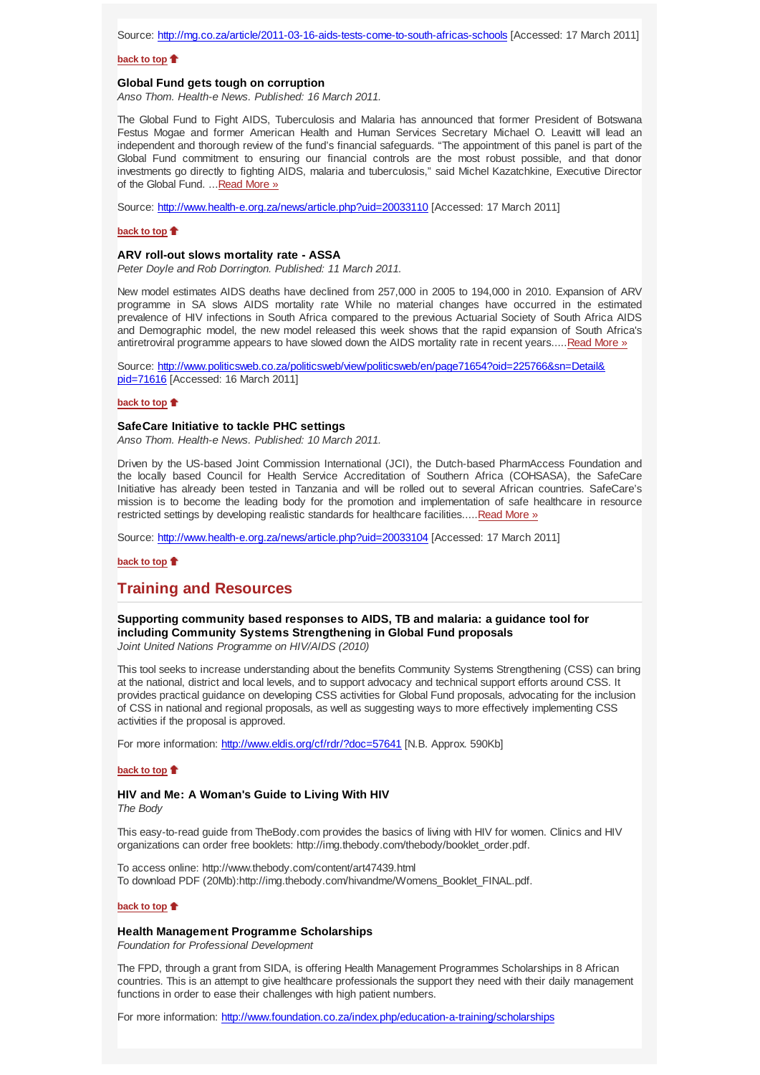#### **back to top**

### **Global Fund gets tough on corruption**

*Anso Thom. Health-e News. Published: 16 March 2011.*

The Global Fund to Fight AIDS, Tuberculosis and Malaria has announced that former President of Botswana Festus Mogae and former American Health and Human Services Secretary Michael O. Leavitt will lead an independent and thorough review of the fund's financial safeguards. "The appointment of this panel is part of the Global Fund commitment to ensuring our financial controls are the most robust possible, and that donor investments go directly to fighting AIDS, malaria and tuberculosis," said Michel Kazatchkine, Executive Director of the Global Fund. ...Read More »

Source: http://www.health-e.org.za/news/article.php?uid=20033110 [Accessed: 17 March 2011]

#### **back to top**

#### **ARV roll-out slows mortality rate - ASSA**

*Peter Doyle and Rob Dorrington. Published: 11 March 2011.*

New model estimates AIDS deaths have declined from 257,000 in 2005 to 194,000 in 2010. Expansion of ARV programme in SA slows AIDS mortality rate While no material changes have occurred in the estimated prevalence of HIV infections in South Africa compared to the previous Actuarial Society of South Africa AIDS and Demographic model, the new model released this week shows that the rapid expansion of South Africa's antiretroviral programme appears to have slowed down the AIDS mortality rate in recent years.....Read More »

Source: http://www.politicsweb.co.za/politicsweb/view/politicsweb/en/page71654?oid=225766&sn=Detail& pid=71616 [Accessed: 16 March 2011]

#### **back to top**

## **SafeCare Initiative to tackle PHC settings**

*Anso Thom. Health-e News. Published: 10 March 2011.*

Driven by the US-based Joint Commission International (JCI), the Dutch-based PharmAccess Foundation and the locally based Council for Health Service Accreditation of Southern Africa (COHSASA), the SafeCare Initiative has already been tested in Tanzania and will be rolled out to several African countries. SafeCare's mission is to become the leading body for the promotion and implementation of safe healthcare in resource restricted settings by developing realistic standards for healthcare facilities.....Read More »

Source: http://www.health-e.org.za/news/article.php?uid=20033104 [Accessed: 17 March 2011]

### **back to top**

## **Training and Resources**

**Supporting community based responses to AIDS, TB and malaria: a guidance tool for including Community Systems Strengthening in Global Fund proposals**

*Joint United Nations Programme on HIV/AIDS (2010)*

This tool seeks to increase understanding about the benefits Community Systems Strengthening (CSS) can bring at the national, district and local levels, and to support advocacy and technical support efforts around CSS. It provides practical guidance on developing CSS activities for Global Fund proposals, advocating for the inclusion of CSS in national and regional proposals, as well as suggesting ways to more effectively implementing CSS activities if the proposal is approved.

For more information: http://www.eldis.org/cf/rdr/?doc=57641 [N.B. Approx. 590Kb]

#### **back to top**

# **HIV and Me: A Woman's Guide to Living With HIV**

*The Body*

This easy-to-read guide from TheBody.com provides the basics of living with HIV for women. Clinics and HIV organizations can order free booklets: http://img.thebody.com/thebody/booklet\_order.pdf.

To access online: http://www.thebody.com/content/art47439.html To download PDF (20Mb):http://img.thebody.com/hivandme/Womens\_Booklet\_FINAL.pdf.

#### **back to top**

## **Health Management Programme Scholarships**

*Foundation for Professional Development*

The FPD, through a grant from SIDA, is offering Health Management Programmes Scholarships in 8 African countries. This is an attempt to give healthcare professionals the support they need with their daily management functions in order to ease their challenges with high patient numbers.

For more information: http://www.foundation.co.za/index.php/education-a-training/scholarships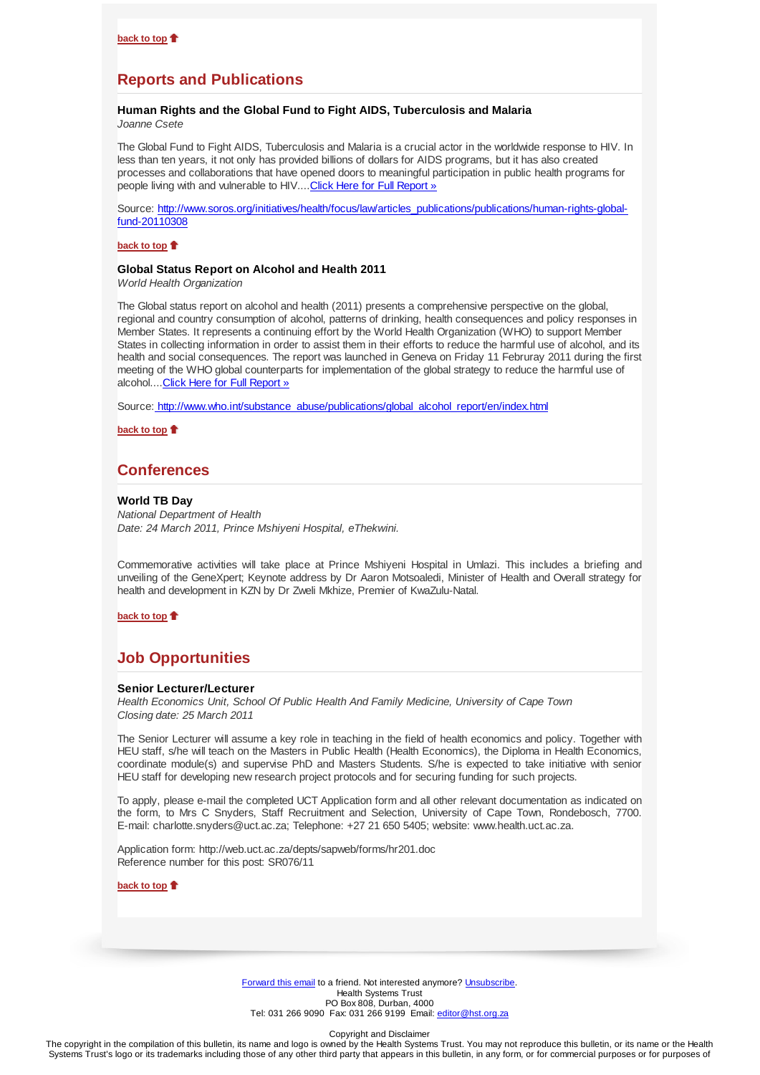# **Reports and Publications**

#### **Human Rights and the Global Fund to Fight AIDS, Tuberculosis and Malaria** *Joanne Csete*

The Global Fund to Fight AIDS, Tuberculosis and Malaria is a crucial actor in the worldwide response to HIV. In less than ten years, it not only has provided billions of dollars for AIDS programs, but it has also created processes and collaborations that have opened doors to meaningful participation in public health programs for people living with and vulnerable to HIV.... Click Here for Full Report »

Source: http://www.soros.org/initiatives/health/focus/law/articles\_publications/publications/human-rights-globalfund-20110308

## **back to top**

#### **Global Status Report on Alcohol and Health 2011**

*World Health Organization*

The Global status report on alcohol and health (2011) presents a comprehensive perspective on the global, regional and country consumption of alcohol, patterns of drinking, health consequences and policy responses in Member States. It represents a continuing effort by the World Health Organization (WHO) to support Member States in collecting information in order to assist them in their efforts to reduce the harmful use of alcohol, and its health and social consequences. The report was launched in Geneva on Friday 11 Februray 2011 during the first meeting of the WHO global counterparts for implementation of the global strategy to reduce the harmful use of alcohol....Click Here for Full Report »

Source: http://www.who.int/substance\_abuse/publications/global\_alcohol\_report/en/index.html

**back to top**

## **Conferences**

#### **World TB Day**

*National Department of Health Date: 24 March 2011, Prince Mshiyeni Hospital, eThekwini.*

Commemorative activities will take place at Prince Mshiyeni Hospital in Umlazi. This includes a briefing and unveiling of the GeneXpert; Keynote address by Dr Aaron Motsoaledi, Minister of Health and Overall strategy for health and development in KZN by Dr Zweli Mkhize, Premier of KwaZulu-Natal.

## **back to top**

## **Job Opportunities**

#### **Senior Lecturer/Lecturer**

*Health Economics Unit, School Of Public Health And Family Medicine, University of Cape Town Closing date: 25 March 2011*

The Senior Lecturer will assume a key role in teaching in the field of health economics and policy. Together with HEU staff, s/he will teach on the Masters in Public Health (Health Economics), the Diploma in Health Economics, coordinate module(s) and supervise PhD and Masters Students. S/he is expected to take initiative with senior HEU staff for developing new research project protocols and for securing funding for such projects.

To apply, please e-mail the completed UCT Application form and all other relevant documentation as indicated on the form, to Mrs C Snyders, Staff Recruitment and Selection, University of Cape Town, Rondebosch, 7700. E-mail: charlotte.snyders@uct.ac.za; Telephone: +27 21 650 5405; website: www.health.uct.ac.za.

Application form: http://web.uct.ac.za/depts/sapweb/forms/hr201.doc Reference number for this post: SR076/11

**back to top**

Forward this email to a friend. Not interested anymore? Unsubscribe. Health Systems Trust PO Box 808, Durban, 4000 Tel: 031 266 9090 Fax: 031 266 9199 Email: editor@hst.org.za

Copyright and Disclaimer

The copyright in the compilation of this bulletin, its name and logo is owned by the Health Systems Trust. You may not reproduce this bulletin, or its name or the Health Systems Trust's logo or its trademarks including those of any other third party that appears in this bulletin, in any form, or for commercial purposes or for purposes of